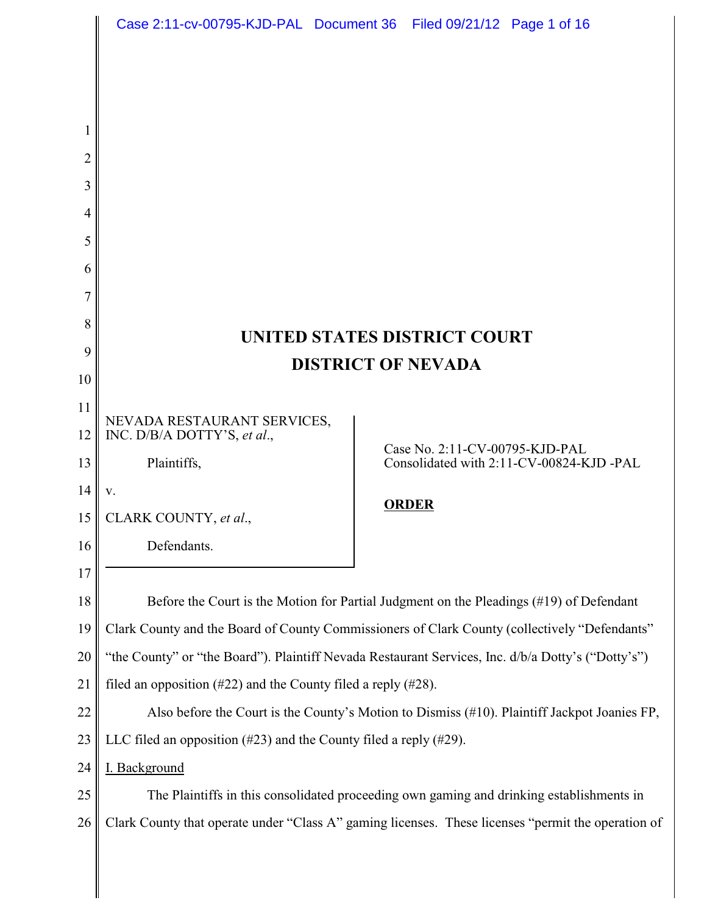|        |                                                                                                    | Case 2:11-cv-00795-KJD-PAL Document 36 Filed 09/21/12 Page 1 of 16 |
|--------|----------------------------------------------------------------------------------------------------|--------------------------------------------------------------------|
|        |                                                                                                    |                                                                    |
|        |                                                                                                    |                                                                    |
|        |                                                                                                    |                                                                    |
|        |                                                                                                    |                                                                    |
| 2      |                                                                                                    |                                                                    |
| 3      |                                                                                                    |                                                                    |
| 4<br>5 |                                                                                                    |                                                                    |
| 6      |                                                                                                    |                                                                    |
| 7      |                                                                                                    |                                                                    |
| 8      |                                                                                                    |                                                                    |
| 9      | UNITED STATES DISTRICT COURT<br><b>DISTRICT OF NEVADA</b>                                          |                                                                    |
| 10     |                                                                                                    |                                                                    |
| 11     | NEVADA RESTAURANT SERVICES,                                                                        |                                                                    |
| 12     | INC. D/B/A DOTTY'S, et al.,                                                                        | Case No. 2:11-CV-00795-KJD-PAL                                     |
| 13     | Plaintiffs,                                                                                        | Consolidated with 2:11-CV-00824-KJD-PAL                            |
| 14     | V.                                                                                                 | <b>ORDER</b>                                                       |
| 15     | CLARK COUNTY, et al.,                                                                              |                                                                    |
| 16     | Defendants.                                                                                        |                                                                    |
| 17     |                                                                                                    |                                                                    |
| 18     | Before the Court is the Motion for Partial Judgment on the Pleadings (#19) of Defendant            |                                                                    |
| 19     | Clark County and the Board of County Commissioners of Clark County (collectively "Defendants"      |                                                                    |
| 20     | "the County" or "the Board"). Plaintiff Nevada Restaurant Services, Inc. d/b/a Dotty's ("Dotty's") |                                                                    |
| 21     | filed an opposition $(\#22)$ and the County filed a reply $(\#28)$ .                               |                                                                    |
| 22     | Also before the Court is the County's Motion to Dismiss (#10). Plaintiff Jackpot Joanies FP,       |                                                                    |
| 23     | LLC filed an opposition $(\#23)$ and the County filed a reply $(\#29)$ .                           |                                                                    |
| 24     | I. Background                                                                                      |                                                                    |
| 25     | The Plaintiffs in this consolidated proceeding own gaming and drinking establishments in           |                                                                    |
| 26     | Clark County that operate under "Class A" gaming licenses. These licenses "permit the operation of |                                                                    |
|        |                                                                                                    |                                                                    |

║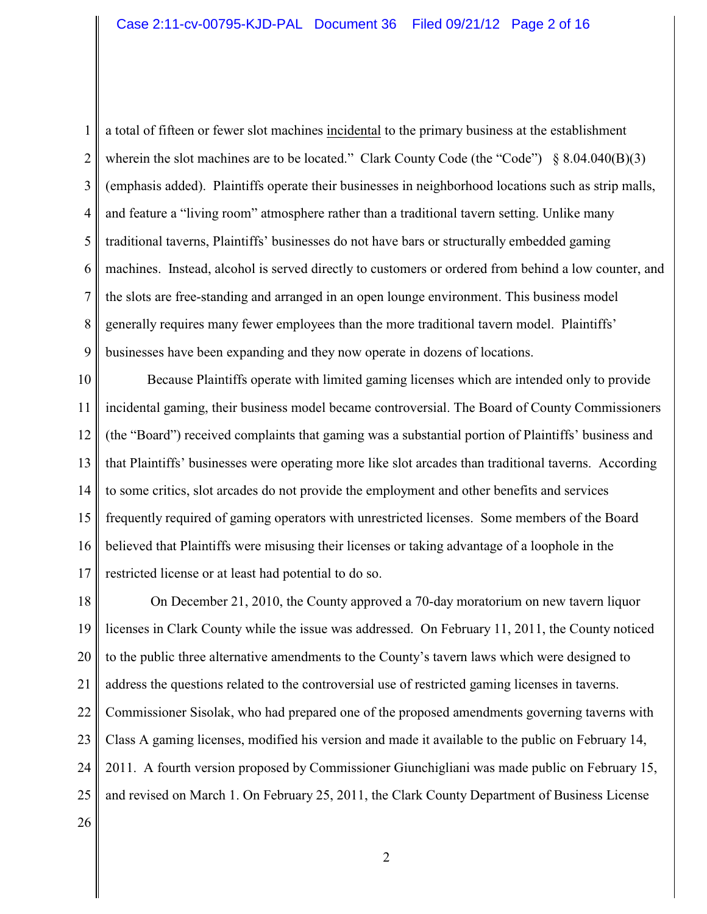1 2 3 4 5 6 7 8 9 a total of fifteen or fewer slot machines incidental to the primary business at the establishment wherein the slot machines are to be located." Clark County Code (the "Code")  $\S 8.04.040(B)(3)$ (emphasis added). Plaintiffs operate their businesses in neighborhood locations such as strip malls, and feature a "living room" atmosphere rather than a traditional tavern setting. Unlike many traditional taverns, Plaintiffs' businesses do not have bars or structurally embedded gaming machines. Instead, alcohol is served directly to customers or ordered from behind a low counter, and the slots are free-standing and arranged in an open lounge environment. This business model generally requires many fewer employees than the more traditional tavern model. Plaintiffs' businesses have been expanding and they now operate in dozens of locations.

10 11 12 13 14 15 16 17 Because Plaintiffs operate with limited gaming licenses which are intended only to provide incidental gaming, their business model became controversial. The Board of County Commissioners (the "Board") received complaints that gaming was a substantial portion of Plaintiffs' business and that Plaintiffs' businesses were operating more like slot arcades than traditional taverns. According to some critics, slot arcades do not provide the employment and other benefits and services frequently required of gaming operators with unrestricted licenses. Some members of the Board believed that Plaintiffs were misusing their licenses or taking advantage of a loophole in the restricted license or at least had potential to do so.

18 19 20 21 22 23 24 25 26 On December 21, 2010, the County approved a 70-day moratorium on new tavern liquor licenses in Clark County while the issue was addressed. On February 11, 2011, the County noticed to the public three alternative amendments to the County's tavern laws which were designed to address the questions related to the controversial use of restricted gaming licenses in taverns. Commissioner Sisolak, who had prepared one of the proposed amendments governing taverns with Class A gaming licenses, modified his version and made it available to the public on February 14, 2011. A fourth version proposed by Commissioner Giunchigliani was made public on February 15, and revised on March 1. On February 25, 2011, the Clark County Department of Business License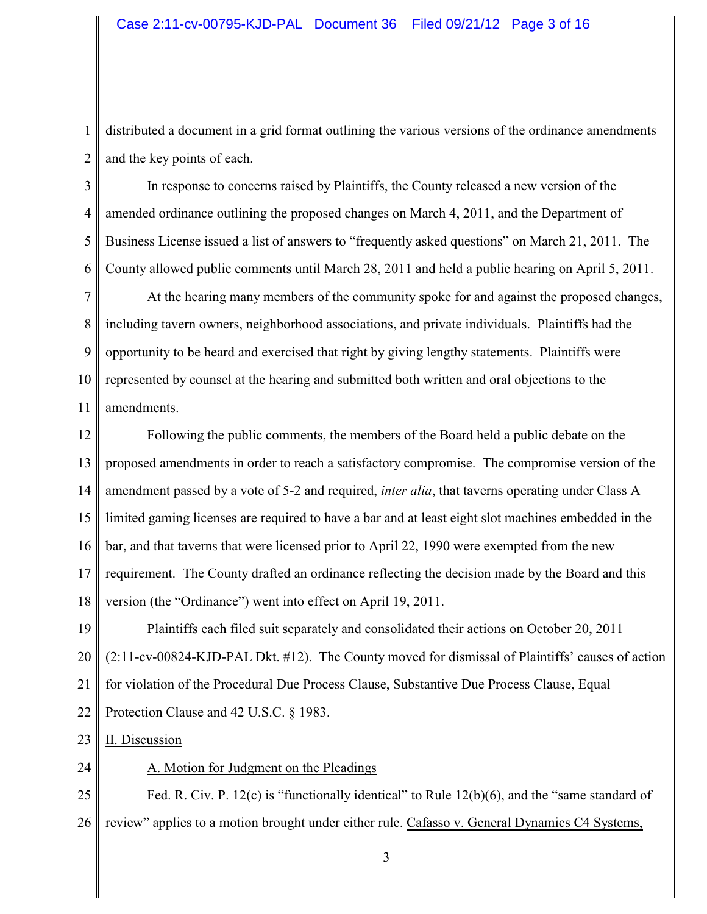1 2 distributed a document in a grid format outlining the various versions of the ordinance amendments and the key points of each.

3 4 5 6 In response to concerns raised by Plaintiffs, the County released a new version of the amended ordinance outlining the proposed changes on March 4, 2011, and the Department of Business License issued a list of answers to "frequently asked questions" on March 21, 2011. The County allowed public comments until March 28, 2011 and held a public hearing on April 5, 2011.

7 8 9 10 11 At the hearing many members of the community spoke for and against the proposed changes, including tavern owners, neighborhood associations, and private individuals. Plaintiffs had the opportunity to be heard and exercised that right by giving lengthy statements. Plaintiffs were represented by counsel at the hearing and submitted both written and oral objections to the amendments.

12 13 14 15 16 17 18 Following the public comments, the members of the Board held a public debate on the proposed amendments in order to reach a satisfactory compromise. The compromise version of the amendment passed by a vote of 5-2 and required, *inter alia*, that taverns operating under Class A limited gaming licenses are required to have a bar and at least eight slot machines embedded in the bar, and that taverns that were licensed prior to April 22, 1990 were exempted from the new requirement. The County drafted an ordinance reflecting the decision made by the Board and this version (the "Ordinance") went into effect on April 19, 2011.

19 20 21 22 Plaintiffs each filed suit separately and consolidated their actions on October 20, 2011 (2:11-cv-00824-KJD-PAL Dkt. #12). The County moved for dismissal of Plaintiffs' causes of action for violation of the Procedural Due Process Clause, Substantive Due Process Clause, Equal Protection Clause and 42 U.S.C. § 1983.

23 II. Discussion

24

A. Motion for Judgment on the Pleadings

25 26 Fed. R. Civ. P. 12(c) is "functionally identical" to Rule 12(b)(6), and the "same standard of review" applies to a motion brought under either rule. Cafasso v. General Dynamics C4 Systems,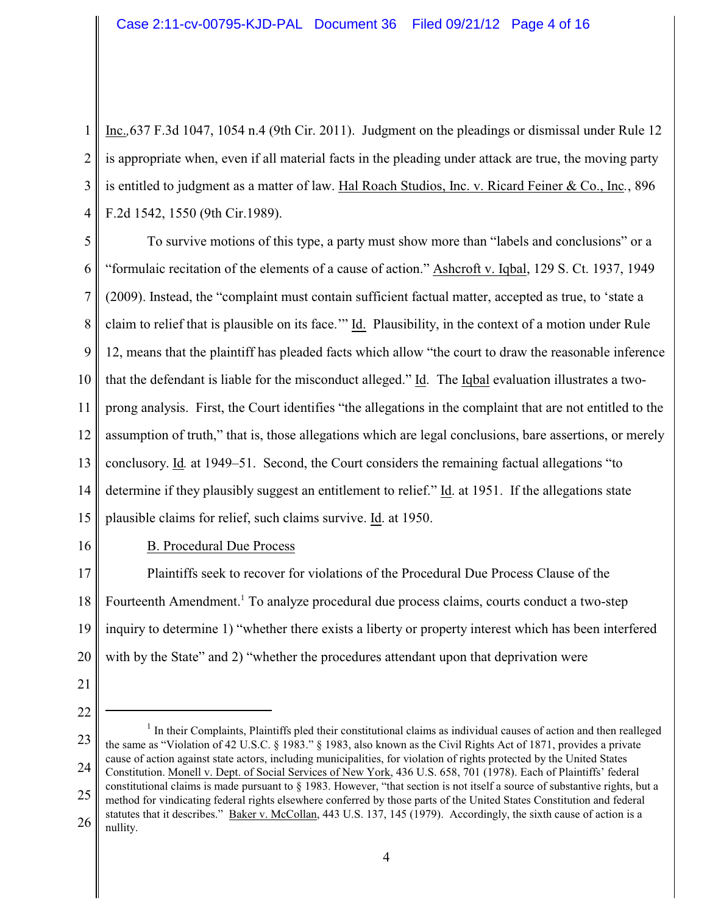1 2 3 4 Inc.*,*637 F.3d 1047, 1054 n.4 (9th Cir. 2011). Judgment on the pleadings or dismissal under Rule 12 is appropriate when, even if all material facts in the pleading under attack are true, the moving party is entitled to judgment as a matter of law. Hal Roach Studios, Inc. v. Ricard Feiner & Co., Inc*.*, 896 F.2d 1542, 1550 (9th Cir.1989).

5 6 7 8 9 10 11 12 13 14 15 To survive motions of this type, a party must show more than "labels and conclusions" or a "formulaic recitation of the elements of a cause of action." Ashcroft v. Iqbal, 129 S. Ct. 1937, 1949 (2009). Instead, the "complaint must contain sufficient factual matter, accepted as true, to 'state a claim to relief that is plausible on its face.'" Id. Plausibility, in the context of a motion under Rule 12, means that the plaintiff has pleaded facts which allow "the court to draw the reasonable inference that the defendant is liable for the misconduct alleged." Id. The Iqbal evaluation illustrates a twoprong analysis. First, the Court identifies "the allegations in the complaint that are not entitled to the assumption of truth," that is, those allegations which are legal conclusions, bare assertions, or merely conclusory. Id*.* at 1949–51. Second, the Court considers the remaining factual allegations "to determine if they plausibly suggest an entitlement to relief." Id. at 1951. If the allegations state plausible claims for relief, such claims survive. Id. at 1950.

16

# B. Procedural Due Process

17 18 19 20 Plaintiffs seek to recover for violations of the Procedural Due Process Clause of the Fourteenth Amendment.<sup>1</sup> To analyze procedural due process claims, courts conduct a two-step inquiry to determine 1) "whether there exists a liberty or property interest which has been interfered with by the State" and 2) "whether the procedures attendant upon that deprivation were

- 21
- 22

<sup>23</sup> 24 25 26  $<sup>1</sup>$  In their Complaints, Plaintiffs pled their constitutional claims as individual causes of action and then realleged</sup> the same as "Violation of 42 U.S.C. § 1983." § 1983, also known as the Civil Rights Act of 1871, provides a private cause of action against state actors, including municipalities, for violation of rights protected by the United States Constitution. Monell v. Dept. of Social Services of New York, 436 U.S. 658, 701 (1978). Each of Plaintiffs' federal constitutional claims is made pursuant to § 1983. However, "that section is not itself a source of substantive rights, but a method for vindicating federal rights elsewhere conferred by those parts of the United States Constitution and federal statutes that it describes." Baker v. McCollan, 443 U.S. 137, 145 (1979). Accordingly, the sixth cause of action is a nullity.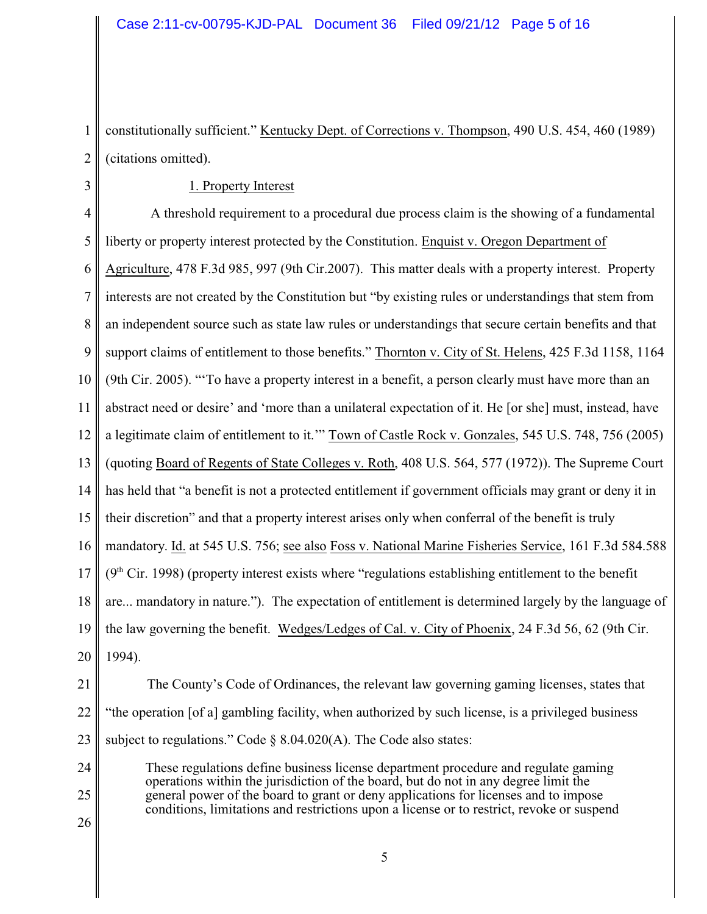1 2 constitutionally sufficient." Kentucky Dept. of Corrections v. Thompson, 490 U.S. 454, 460 (1989) (citations omitted).

#### 1. Property Interest

4 5 6 7 8 9 10 11 12 13 14 15 16 17 18 19 20 A threshold requirement to a procedural due process claim is the showing of a fundamental liberty or property interest protected by the Constitution. Enquist v. Oregon Department of Agriculture, 478 F.3d 985, 997 (9th Cir.2007). This matter deals with a property interest. Property interests are not created by the Constitution but "by existing rules or understandings that stem from an independent source such as state law rules or understandings that secure certain benefits and that support claims of entitlement to those benefits." Thornton v. City of St. Helens, 425 F.3d 1158, 1164 (9th Cir. 2005). "'To have a property interest in a benefit, a person clearly must have more than an abstract need or desire' and 'more than a unilateral expectation of it. He [or she] must, instead, have a legitimate claim of entitlement to it.'" Town of Castle Rock v. Gonzales, 545 U.S. 748, 756 (2005) (quoting Board of Regents of State Colleges v. Roth, 408 U.S. 564, 577 (1972)). The Supreme Court has held that "a benefit is not a protected entitlement if government officials may grant or deny it in their discretion" and that a property interest arises only when conferral of the benefit is truly mandatory. Id. at 545 U.S. 756; see also Foss v. National Marine Fisheries Service, 161 F.3d 584.588  $(9<sup>th</sup> Cir. 1998)$  (property interest exists where "regulations establishing entitlement to the benefit are... mandatory in nature."). The expectation of entitlement is determined largely by the language of the law governing the benefit. Wedges/Ledges of Cal. v. City of Phoenix, 24 F.3d 56, 62 (9th Cir. 1994).

21

3

22 23 The County's Code of Ordinances, the relevant law governing gaming licenses, states that "the operation [of a] gambling facility, when authorized by such license, is a privileged business subject to regulations." Code  $\S$  8.04.020(A). The Code also states:

24 25 These regulations define business license department procedure and regulate gaming operations within the jurisdiction of the board, but do not in any degree limit the general power of the board to grant or deny applications for licenses and to impose conditions, limitations and restrictions upon a license or to restrict, revoke or suspend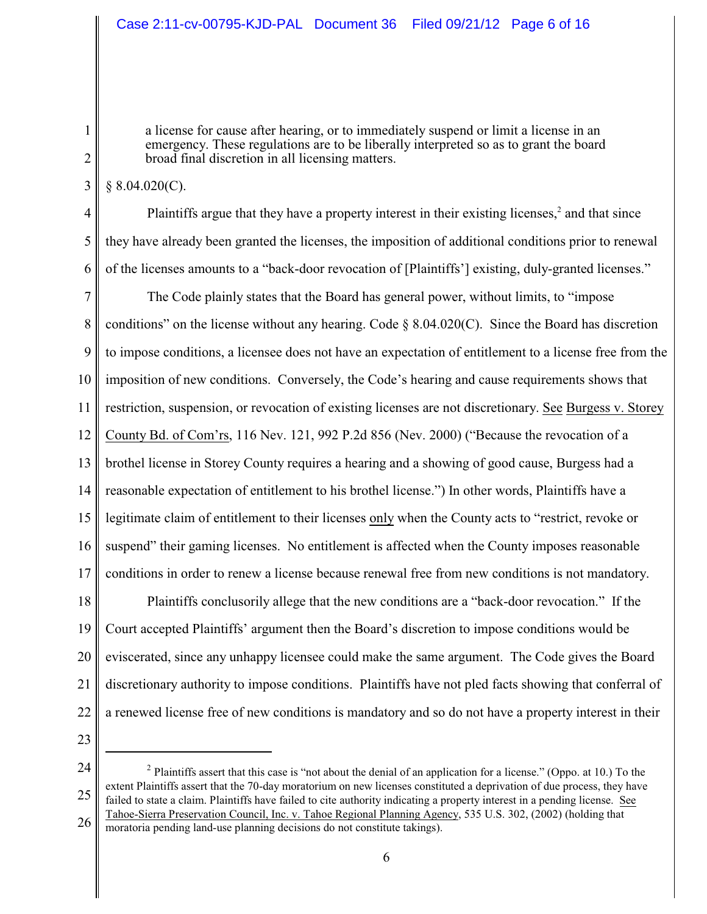a license for cause after hearing, or to immediately suspend or limit a license in an emergency. These regulations are to be liberally interpreted so as to grant the board broad final discretion in all licensing matters.

 $§ 8.04.020(C).$ 

1

2

3

4 5 6 Plaintiffs argue that they have a property interest in their existing licenses, $<sup>2</sup>$  and that since</sup> they have already been granted the licenses, the imposition of additional conditions prior to renewal of the licenses amounts to a "back-door revocation of [Plaintiffs'] existing, duly-granted licenses."

7 8 9 10 11 12 13 14 15 16 17 The Code plainly states that the Board has general power, without limits, to "impose conditions" on the license without any hearing. Code § 8.04.020(C). Since the Board has discretion to impose conditions, a licensee does not have an expectation of entitlement to a license free from the imposition of new conditions. Conversely, the Code's hearing and cause requirements shows that restriction, suspension, or revocation of existing licenses are not discretionary. See Burgess v. Storey County Bd. of Com'rs, 116 Nev. 121, 992 P.2d 856 (Nev. 2000) ("Because the revocation of a brothel license in Storey County requires a hearing and a showing of good cause, Burgess had a reasonable expectation of entitlement to his brothel license.") In other words, Plaintiffs have a legitimate claim of entitlement to their licenses only when the County acts to "restrict, revoke or suspend" their gaming licenses. No entitlement is affected when the County imposes reasonable conditions in order to renew a license because renewal free from new conditions is not mandatory.

18 19 20 21 22 Plaintiffs conclusorily allege that the new conditions are a "back-door revocation." If the Court accepted Plaintiffs' argument then the Board's discretion to impose conditions would be eviscerated, since any unhappy licensee could make the same argument. The Code gives the Board discretionary authority to impose conditions. Plaintiffs have not pled facts showing that conferral of a renewed license free of new conditions is mandatory and so do not have a property interest in their

23

24 25 26 <sup>2</sup> Plaintiffs assert that this case is "not about the denial of an application for a license." (Oppo. at 10.) To the extent Plaintiffs assert that the 70-day moratorium on new licenses constituted a deprivation of due process, they have failed to state a claim. Plaintiffs have failed to cite authority indicating a property interest in a pending license. See Tahoe-Sierra Preservation Council, Inc. v. Tahoe Regional Planning Agency, 535 U.S. 302, (2002) (holding that moratoria pending land-use planning decisions do not constitute takings).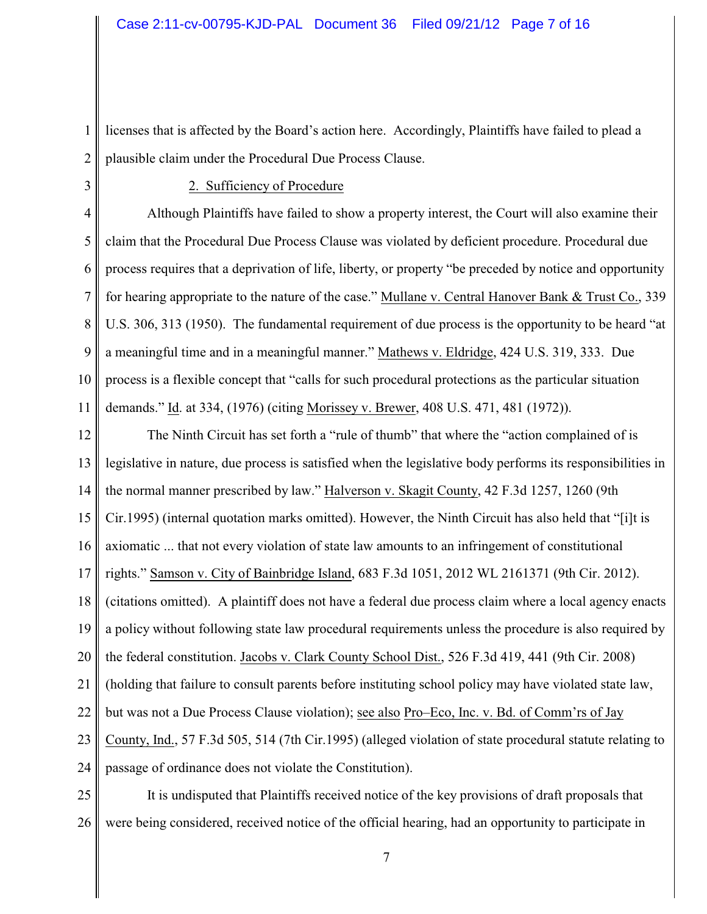1 2 licenses that is affected by the Board's action here. Accordingly, Plaintiffs have failed to plead a plausible claim under the Procedural Due Process Clause.

3

### 2. Sufficiency of Procedure

4 5 6 7 8 9 10 11 Although Plaintiffs have failed to show a property interest, the Court will also examine their claim that the Procedural Due Process Clause was violated by deficient procedure. Procedural due process requires that a deprivation of life, liberty, or property "be preceded by notice and opportunity for hearing appropriate to the nature of the case." Mullane v. Central Hanover Bank & Trust Co., 339 U.S. 306, 313 (1950). The fundamental requirement of due process is the opportunity to be heard "at a meaningful time and in a meaningful manner." Mathews v. Eldridge, 424 U.S. 319, 333. Due process is a flexible concept that "calls for such procedural protections as the particular situation demands." Id. at 334, (1976) (citing Morissey v. Brewer, 408 U.S. 471, 481 (1972)).

12 13 14 15 16 17 18 19 20 21 22 23 24 The Ninth Circuit has set forth a "rule of thumb" that where the "action complained of is legislative in nature, due process is satisfied when the legislative body performs its responsibilities in the normal manner prescribed by law." Halverson v. Skagit County, 42 F.3d 1257, 1260 (9th Cir.1995) (internal quotation marks omitted). However, the Ninth Circuit has also held that "[i]t is axiomatic ... that not every violation of state law amounts to an infringement of constitutional rights." Samson v. City of Bainbridge Island, 683 F.3d 1051, 2012 WL 2161371 (9th Cir. 2012). (citations omitted). A plaintiff does not have a federal due process claim where a local agency enacts a policy without following state law procedural requirements unless the procedure is also required by the federal constitution. Jacobs v. Clark County School Dist., 526 F.3d 419, 441 (9th Cir. 2008) (holding that failure to consult parents before instituting school policy may have violated state law, but was not a Due Process Clause violation); see also Pro–Eco, Inc. v. Bd. of Comm'rs of Jay County, Ind., 57 F.3d 505, 514 (7th Cir.1995) (alleged violation of state procedural statute relating to passage of ordinance does not violate the Constitution).

25 26 It is undisputed that Plaintiffs received notice of the key provisions of draft proposals that were being considered, received notice of the official hearing, had an opportunity to participate in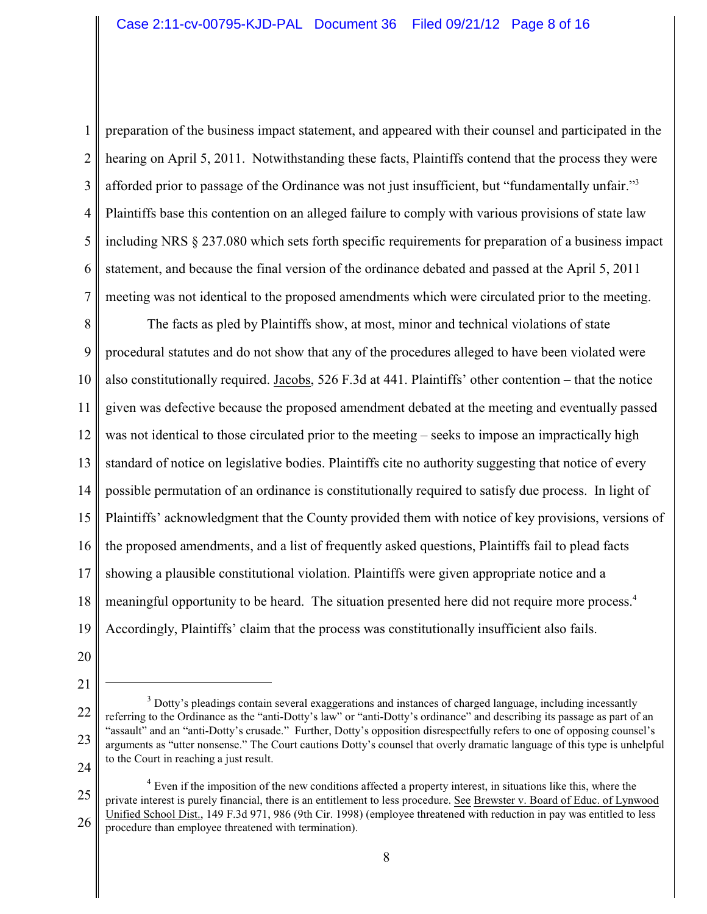1 2 3 4 5 6 7 preparation of the business impact statement, and appeared with their counsel and participated in the hearing on April 5, 2011. Notwithstanding these facts, Plaintiffs contend that the process they were afforded prior to passage of the Ordinance was not just insufficient, but "fundamentally unfair."<sup>3</sup> Plaintiffs base this contention on an alleged failure to comply with various provisions of state law including NRS § 237.080 which sets forth specific requirements for preparation of a business impact statement, and because the final version of the ordinance debated and passed at the April 5, 2011 meeting was not identical to the proposed amendments which were circulated prior to the meeting.

8 9 10 11 12 13 14 15 16 17 18 19 The facts as pled by Plaintiffs show, at most, minor and technical violations of state procedural statutes and do not show that any of the procedures alleged to have been violated were also constitutionally required. Jacobs, 526 F.3d at 441. Plaintiffs' other contention – that the notice given was defective because the proposed amendment debated at the meeting and eventually passed was not identical to those circulated prior to the meeting – seeks to impose an impractically high standard of notice on legislative bodies. Plaintiffs cite no authority suggesting that notice of every possible permutation of an ordinance is constitutionally required to satisfy due process. In light of Plaintiffs' acknowledgment that the County provided them with notice of key provisions, versions of the proposed amendments, and a list of frequently asked questions, Plaintiffs fail to plead facts showing a plausible constitutional violation. Plaintiffs were given appropriate notice and a meaningful opportunity to be heard. The situation presented here did not require more process.<sup>4</sup> Accordingly, Plaintiffs' claim that the process was constitutionally insufficient also fails.

- 20
- 21

<sup>22</sup> 23 <sup>3</sup> Dotty's pleadings contain several exaggerations and instances of charged language, including incessantly referring to the Ordinance as the "anti-Dotty's law" or "anti-Dotty's ordinance" and describing its passage as part of an "assault" and an "anti-Dotty's crusade." Further, Dotty's opposition disrespectfully refers to one of opposing counsel's arguments as "utter nonsense." The Court cautions Dotty's counsel that overly dramatic language of this type is unhelpful to the Court in reaching a just result.

<sup>25</sup> 26  $4$  Even if the imposition of the new conditions affected a property interest, in situations like this, where the private interest is purely financial, there is an entitlement to less procedure. See Brewster v. Board of Educ. of Lynwood Unified School Dist., 149 F.3d 971, 986 (9th Cir. 1998) (employee threatened with reduction in pay was entitled to less procedure than employee threatened with termination).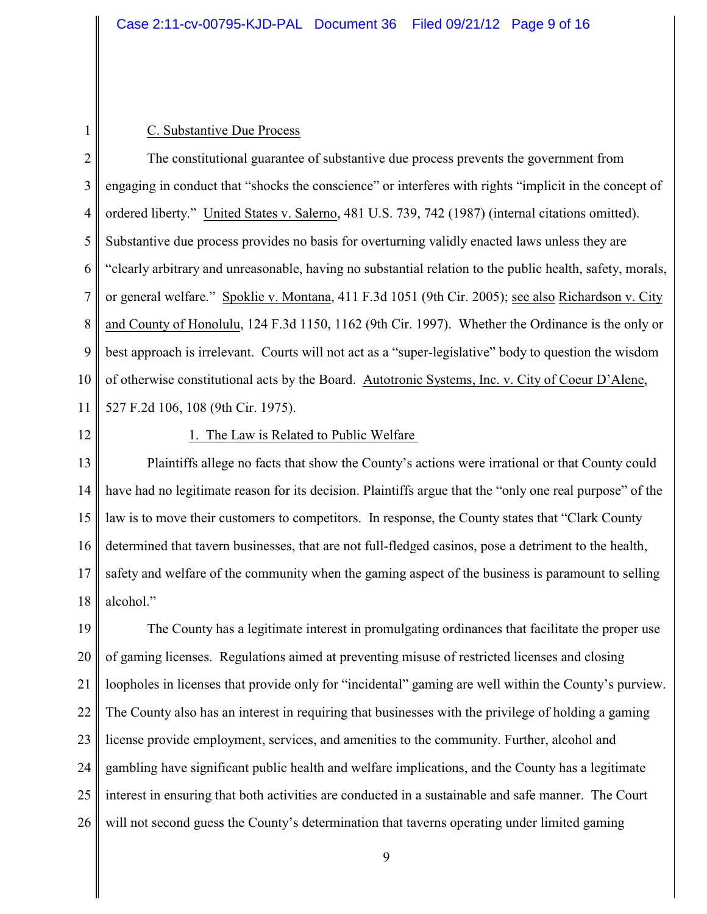#### C. Substantive Due Process

2 3 4 5 6 7 8 9 10 11 The constitutional guarantee of substantive due process prevents the government from engaging in conduct that "shocks the conscience" or interferes with rights "implicit in the concept of ordered liberty." United States v. Salerno, 481 U.S. 739, 742 (1987) (internal citations omitted). Substantive due process provides no basis for overturning validly enacted laws unless they are "clearly arbitrary and unreasonable, having no substantial relation to the public health, safety, morals, or general welfare." Spoklie v. Montana, 411 F.3d 1051 (9th Cir. 2005); see also Richardson v. City and County of Honolulu, 124 F.3d 1150, 1162 (9th Cir. 1997). Whether the Ordinance is the only or best approach is irrelevant. Courts will not act as a "super-legislative" body to question the wisdom of otherwise constitutional acts by the Board. Autotronic Systems, Inc. v. City of Coeur D'Alene, 527 F.2d 106, 108 (9th Cir. 1975).

12

1

### 1. The Law is Related to Public Welfare

13 14 15 16 17 18 Plaintiffs allege no facts that show the County's actions were irrational or that County could have had no legitimate reason for its decision. Plaintiffs argue that the "only one real purpose" of the law is to move their customers to competitors. In response, the County states that "Clark County determined that tavern businesses, that are not full-fledged casinos, pose a detriment to the health, safety and welfare of the community when the gaming aspect of the business is paramount to selling alcohol."

19 20 21 22 23 24 25 26 The County has a legitimate interest in promulgating ordinances that facilitate the proper use of gaming licenses. Regulations aimed at preventing misuse of restricted licenses and closing loopholes in licenses that provide only for "incidental" gaming are well within the County's purview. The County also has an interest in requiring that businesses with the privilege of holding a gaming license provide employment, services, and amenities to the community. Further, alcohol and gambling have significant public health and welfare implications, and the County has a legitimate interest in ensuring that both activities are conducted in a sustainable and safe manner. The Court will not second guess the County's determination that taverns operating under limited gaming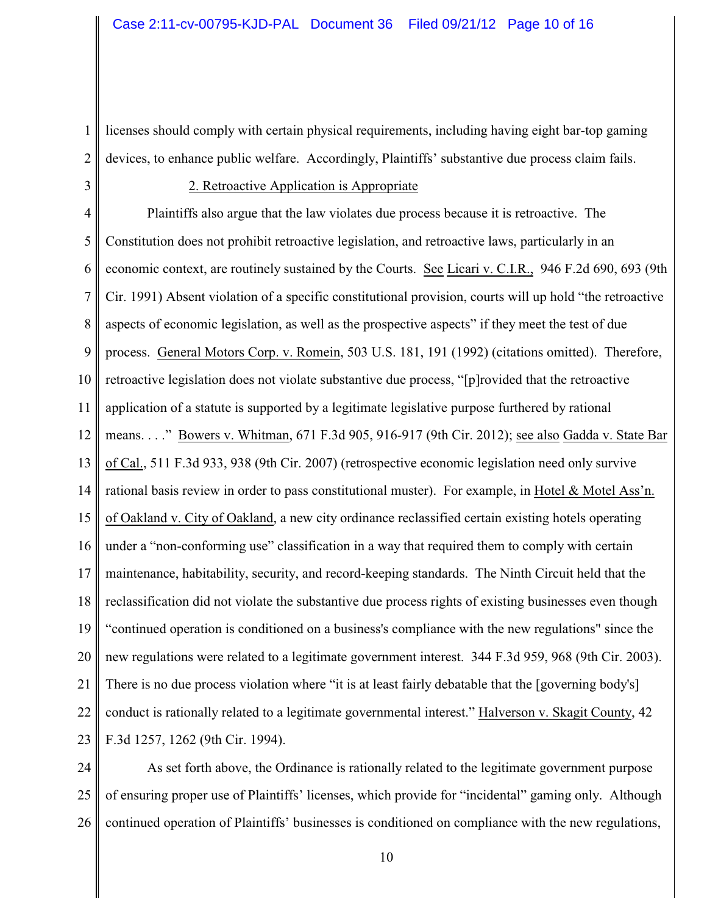1 2 licenses should comply with certain physical requirements, including having eight bar-top gaming devices, to enhance public welfare. Accordingly, Plaintiffs' substantive due process claim fails.

3

# 2. Retroactive Application is Appropriate

4 5 6 7 8 9 10 11 12 13 14 15 16 17 18 19 20 21 22 23 Plaintiffs also argue that the law violates due process because it is retroactive. The Constitution does not prohibit retroactive legislation, and retroactive laws, particularly in an economic context, are routinely sustained by the Courts. See Licari v. C.I.R., 946 F.2d 690, 693 (9th Cir. 1991) Absent violation of a specific constitutional provision, courts will up hold "the retroactive aspects of economic legislation, as well as the prospective aspects" if they meet the test of due process. General Motors Corp. v. Romein, 503 U.S. 181, 191 (1992) (citations omitted). Therefore, retroactive legislation does not violate substantive due process, "[p]rovided that the retroactive application of a statute is supported by a legitimate legislative purpose furthered by rational means. . . ." Bowers v. Whitman, 671 F.3d 905, 916-917 (9th Cir. 2012); see also Gadda v. State Bar of Cal., 511 F.3d 933, 938 (9th Cir. 2007) (retrospective economic legislation need only survive rational basis review in order to pass constitutional muster). For example, in Hotel & Motel Ass'n. of Oakland v. City of Oakland, a new city ordinance reclassified certain existing hotels operating under a "non-conforming use" classification in a way that required them to comply with certain maintenance, habitability, security, and record-keeping standards. The Ninth Circuit held that the reclassification did not violate the substantive due process rights of existing businesses even though "continued operation is conditioned on a business's compliance with the new regulations" since the new regulations were related to a legitimate government interest. 344 F.3d 959, 968 (9th Cir. 2003). There is no due process violation where "it is at least fairly debatable that the [governing body's] conduct is rationally related to a legitimate governmental interest." Halverson v. Skagit County, 42 F.3d 1257, 1262 (9th Cir. 1994).

24 25 26 As set forth above, the Ordinance is rationally related to the legitimate government purpose of ensuring proper use of Plaintiffs' licenses, which provide for "incidental" gaming only. Although continued operation of Plaintiffs' businesses is conditioned on compliance with the new regulations,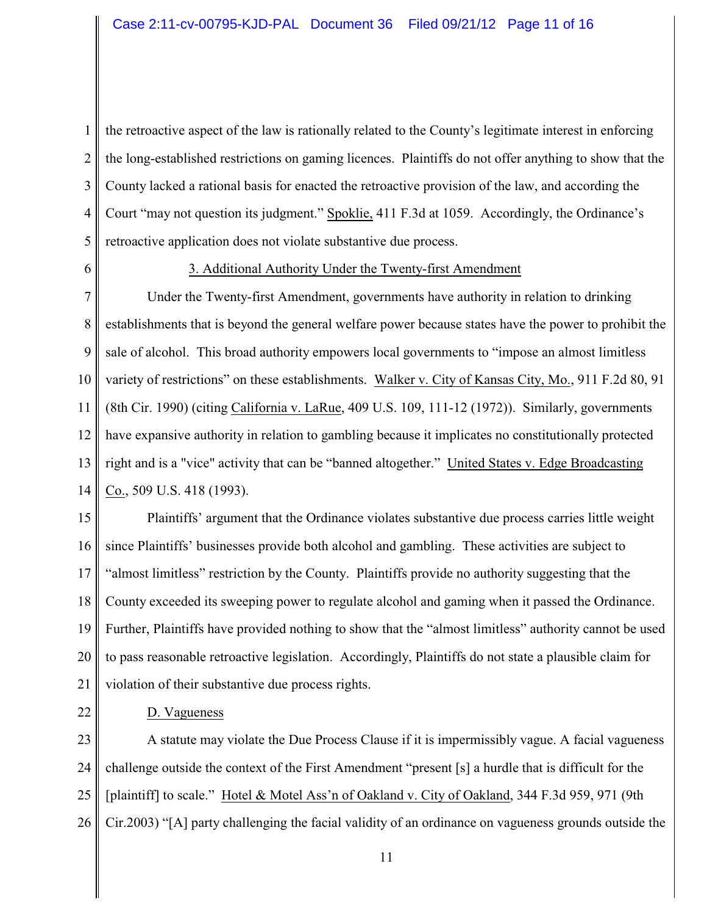1 2 3 4 5 the retroactive aspect of the law is rationally related to the County's legitimate interest in enforcing the long-established restrictions on gaming licences. Plaintiffs do not offer anything to show that the County lacked a rational basis for enacted the retroactive provision of the law, and according the Court "may not question its judgment." Spoklie, 411 F.3d at 1059. Accordingly, the Ordinance's retroactive application does not violate substantive due process.

6

#### 3. Additional Authority Under the Twenty-first Amendment

7 8 9 10 11 12 13 14 Under the Twenty-first Amendment, governments have authority in relation to drinking establishments that is beyond the general welfare power because states have the power to prohibit the sale of alcohol. This broad authority empowers local governments to "impose an almost limitless variety of restrictions" on these establishments. Walker v. City of Kansas City, Mo., 911 F.2d 80, 91 (8th Cir. 1990) (citing California v. LaRue, 409 U.S. 109, 111-12 (1972)). Similarly, governments have expansive authority in relation to gambling because it implicates no constitutionally protected right and is a "vice" activity that can be "banned altogether." United States v. Edge Broadcasting Co., 509 U.S. 418 (1993).

15 16 17 18 19 20 21 Plaintiffs' argument that the Ordinance violates substantive due process carries little weight since Plaintiffs' businesses provide both alcohol and gambling. These activities are subject to "almost limitless" restriction by the County. Plaintiffs provide no authority suggesting that the County exceeded its sweeping power to regulate alcohol and gaming when it passed the Ordinance. Further, Plaintiffs have provided nothing to show that the "almost limitless" authority cannot be used to pass reasonable retroactive legislation. Accordingly, Plaintiffs do not state a plausible claim for violation of their substantive due process rights.

22

## D. Vagueness

23 24 25 26 A statute may violate the Due Process Clause if it is impermissibly vague. A facial vagueness challenge outside the context of the First Amendment "present [s] a hurdle that is difficult for the [plaintiff] to scale." Hotel & Motel Ass'n of Oakland v. City of Oakland, 344 F.3d 959, 971 (9th Cir.2003) "[A] party challenging the facial validity of an ordinance on vagueness grounds outside the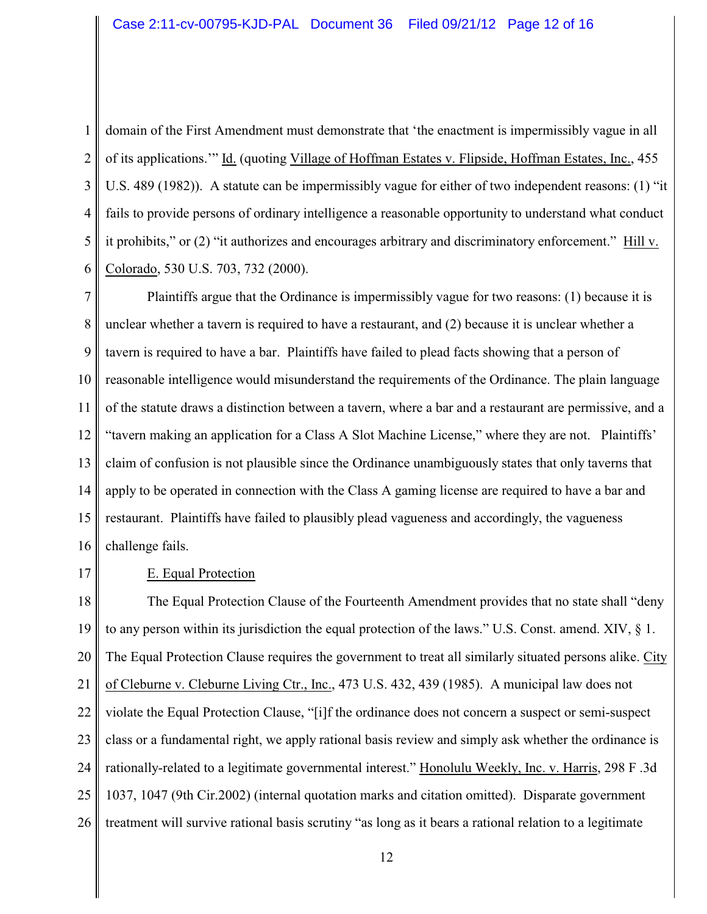1 2 3 4 5 6 domain of the First Amendment must demonstrate that 'the enactment is impermissibly vague in all of its applications.'" Id. (quoting Village of Hoffman Estates v. Flipside, Hoffman Estates, Inc., 455 U.S. 489 (1982)). A statute can be impermissibly vague for either of two independent reasons: (1) "it fails to provide persons of ordinary intelligence a reasonable opportunity to understand what conduct it prohibits," or (2) "it authorizes and encourages arbitrary and discriminatory enforcement." Hill v. Colorado, 530 U.S. 703, 732 (2000).

7 8 9 10 11 12 13 14 15 16 Plaintiffs argue that the Ordinance is impermissibly vague for two reasons: (1) because it is unclear whether a tavern is required to have a restaurant, and (2) because it is unclear whether a tavern is required to have a bar. Plaintiffs have failed to plead facts showing that a person of reasonable intelligence would misunderstand the requirements of the Ordinance. The plain language of the statute draws a distinction between a tavern, where a bar and a restaurant are permissive, and a "tavern making an application for a Class A Slot Machine License," where they are not. Plaintiffs' claim of confusion is not plausible since the Ordinance unambiguously states that only taverns that apply to be operated in connection with the Class A gaming license are required to have a bar and restaurant. Plaintiffs have failed to plausibly plead vagueness and accordingly, the vagueness challenge fails.

17

# E. Equal Protection

18 19 20 21 22 23 24 25 26 The Equal Protection Clause of the Fourteenth Amendment provides that no state shall "deny to any person within its jurisdiction the equal protection of the laws." U.S. Const. amend. XIV, § 1. The Equal Protection Clause requires the government to treat all similarly situated persons alike. City of Cleburne v. Cleburne Living Ctr., Inc., 473 U.S. 432, 439 (1985). A municipal law does not violate the Equal Protection Clause, "[i]f the ordinance does not concern a suspect or semi-suspect class or a fundamental right, we apply rational basis review and simply ask whether the ordinance is rationally-related to a legitimate governmental interest." Honolulu Weekly, Inc. v. Harris, 298 F .3d 1037, 1047 (9th Cir.2002) (internal quotation marks and citation omitted). Disparate government treatment will survive rational basis scrutiny "as long as it bears a rational relation to a legitimate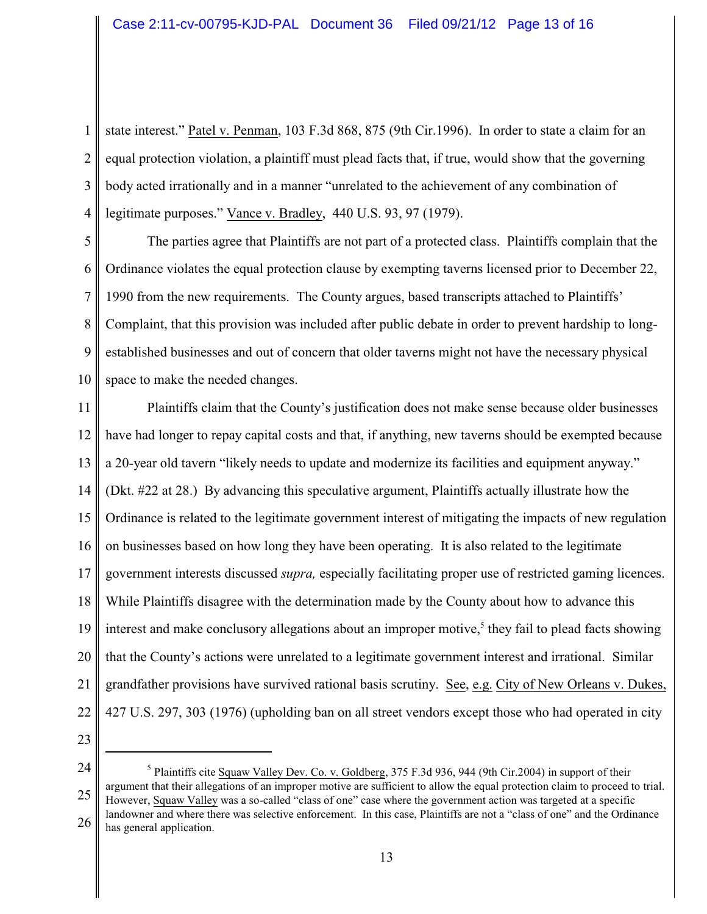1 2 3 4 state interest." Patel v. Penman, 103 F.3d 868, 875 (9th Cir.1996). In order to state a claim for an equal protection violation, a plaintiff must plead facts that, if true, would show that the governing body acted irrationally and in a manner "unrelated to the achievement of any combination of legitimate purposes." Vance v. Bradley, 440 U.S. 93, 97 (1979).

5 6 7 8 9 10 The parties agree that Plaintiffs are not part of a protected class. Plaintiffs complain that the Ordinance violates the equal protection clause by exempting taverns licensed prior to December 22, 1990 from the new requirements. The County argues, based transcripts attached to Plaintiffs' Complaint, that this provision was included after public debate in order to prevent hardship to longestablished businesses and out of concern that older taverns might not have the necessary physical space to make the needed changes.

11 12 13 14 15 16 17 18 19 20 21 22 Plaintiffs claim that the County's justification does not make sense because older businesses have had longer to repay capital costs and that, if anything, new taverns should be exempted because a 20-year old tavern "likely needs to update and modernize its facilities and equipment anyway." (Dkt. #22 at 28.) By advancing this speculative argument, Plaintiffs actually illustrate how the Ordinance is related to the legitimate government interest of mitigating the impacts of new regulation on businesses based on how long they have been operating. It is also related to the legitimate government interests discussed *supra,* especially facilitating proper use of restricted gaming licences. While Plaintiffs disagree with the determination made by the County about how to advance this interest and make conclusory allegations about an improper motive,<sup>5</sup> they fail to plead facts showing that the County's actions were unrelated to a legitimate government interest and irrational. Similar grandfather provisions have survived rational basis scrutiny. See, e.g. City of New Orleans v. Dukes, 427 U.S. 297, 303 (1976) (upholding ban on all street vendors except those who had operated in city

<sup>24</sup> 25 26 <sup>5</sup> Plaintiffs cite Squaw Valley Dev. Co. v. Goldberg,  $375$  F.3d 936, 944 (9th Cir.2004) in support of their argument that their allegations of an improper motive are sufficient to allow the equal protection claim to proceed to trial. However, Squaw Valley was a so-called "class of one" case where the government action was targeted at a specific landowner and where there was selective enforcement. In this case, Plaintiffs are not a "class of one" and the Ordinance has general application.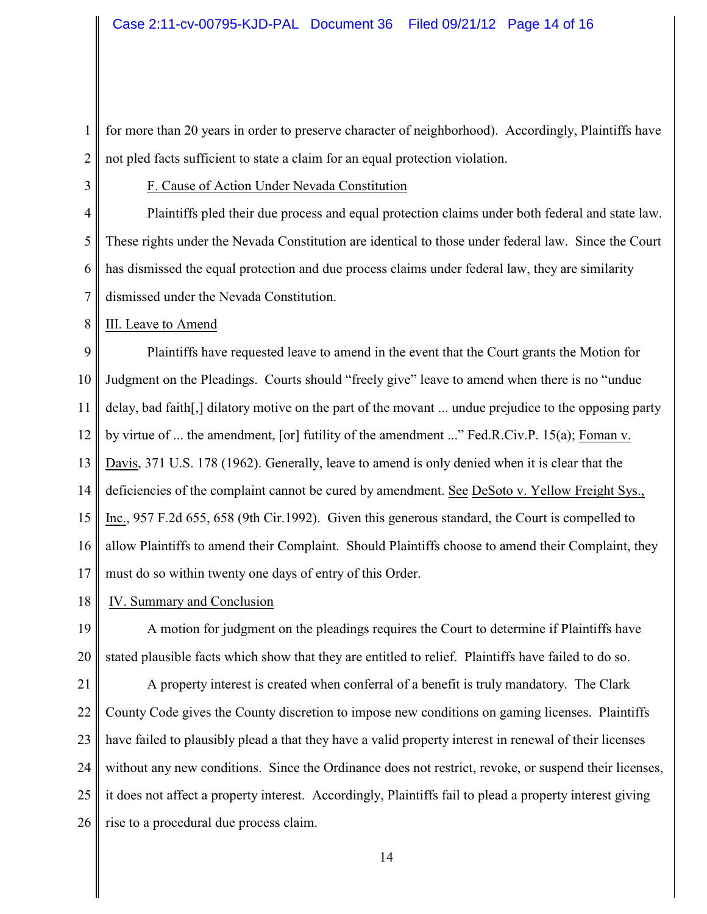1 2 for more than 20 years in order to preserve character of neighborhood). Accordingly, Plaintiffs have not pled facts sufficient to state a claim for an equal protection violation.

3

### F. Cause of Action Under Nevada Constitution

4 5 6 7 Plaintiffs pled their due process and equal protection claims under both federal and state law. These rights under the Nevada Constitution are identical to those under federal law. Since the Court has dismissed the equal protection and due process claims under federal law, they are similarity dismissed under the Nevada Constitution.

8 III. Leave to Amend

9 10 11 12 13 14 15 16 17 Plaintiffs have requested leave to amend in the event that the Court grants the Motion for Judgment on the Pleadings. Courts should "freely give" leave to amend when there is no "undue delay, bad faith[,] dilatory motive on the part of the movant ... undue prejudice to the opposing party by virtue of ... the amendment, [or] futility of the amendment ..." Fed.R.Civ.P. 15(a); Foman v. Davis, 371 U.S. 178 (1962). Generally, leave to amend is only denied when it is clear that the deficiencies of the complaint cannot be cured by amendment. See DeSoto v. Yellow Freight Sys., Inc., 957 F.2d 655, 658 (9th Cir.1992). Given this generous standard, the Court is compelled to allow Plaintiffs to amend their Complaint. Should Plaintiffs choose to amend their Complaint, they must do so within twenty one days of entry of this Order.

18 IV. Summary and Conclusion

19 20 A motion for judgment on the pleadings requires the Court to determine if Plaintiffs have stated plausible facts which show that they are entitled to relief. Plaintiffs have failed to do so.

21 22 23 24 25 26 A property interest is created when conferral of a benefit is truly mandatory. The Clark County Code gives the County discretion to impose new conditions on gaming licenses. Plaintiffs have failed to plausibly plead a that they have a valid property interest in renewal of their licenses without any new conditions. Since the Ordinance does not restrict, revoke, or suspend their licenses, it does not affect a property interest. Accordingly, Plaintiffs fail to plead a property interest giving rise to a procedural due process claim.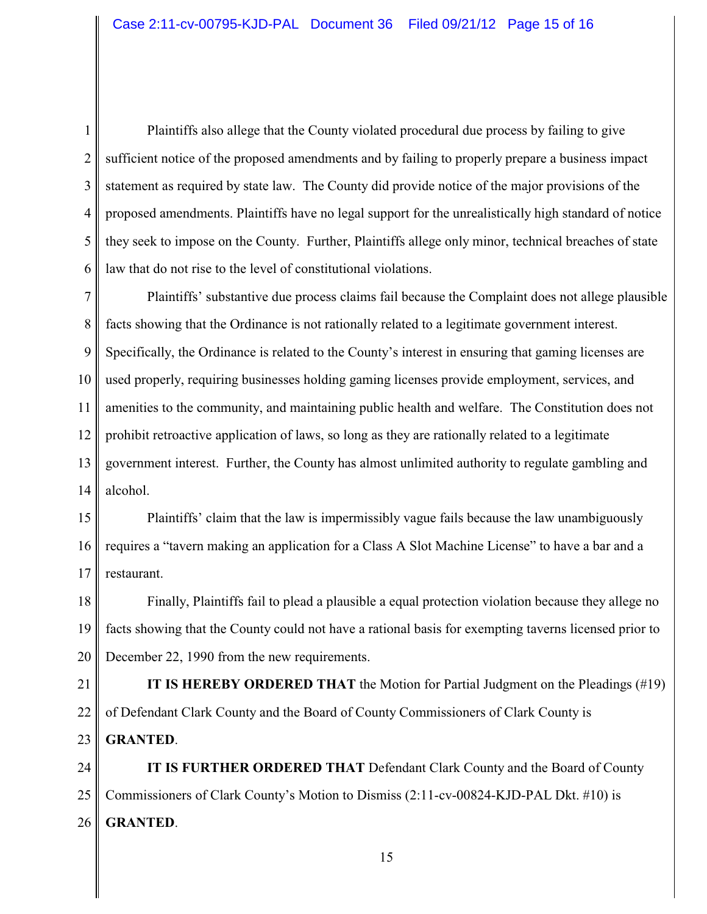1 2 3 4 5 6 Plaintiffs also allege that the County violated procedural due process by failing to give sufficient notice of the proposed amendments and by failing to properly prepare a business impact statement as required by state law. The County did provide notice of the major provisions of the proposed amendments. Plaintiffs have no legal support for the unrealistically high standard of notice they seek to impose on the County. Further, Plaintiffs allege only minor, technical breaches of state law that do not rise to the level of constitutional violations.

7 8 9 10 11 12 13 14 Plaintiffs' substantive due process claims fail because the Complaint does not allege plausible facts showing that the Ordinance is not rationally related to a legitimate government interest. Specifically, the Ordinance is related to the County's interest in ensuring that gaming licenses are used properly, requiring businesses holding gaming licenses provide employment, services, and amenities to the community, and maintaining public health and welfare. The Constitution does not prohibit retroactive application of laws, so long as they are rationally related to a legitimate government interest. Further, the County has almost unlimited authority to regulate gambling and alcohol.

15 16 17 Plaintiffs' claim that the law is impermissibly vague fails because the law unambiguously requires a "tavern making an application for a Class A Slot Machine License" to have a bar and a restaurant.

18 19 20 Finally, Plaintiffs fail to plead a plausible a equal protection violation because they allege no facts showing that the County could not have a rational basis for exempting taverns licensed prior to December 22, 1990 from the new requirements.

21 22 23 **IT IS HEREBY ORDERED THAT** the Motion for Partial Judgment on the Pleadings (#19) of Defendant Clark County and the Board of County Commissioners of Clark County is **GRANTED**.

24 25 26 **IT IS FURTHER ORDERED THAT** Defendant Clark County and the Board of County Commissioners of Clark County's Motion to Dismiss (2:11-cv-00824-KJD-PAL Dkt. #10) is **GRANTED**.